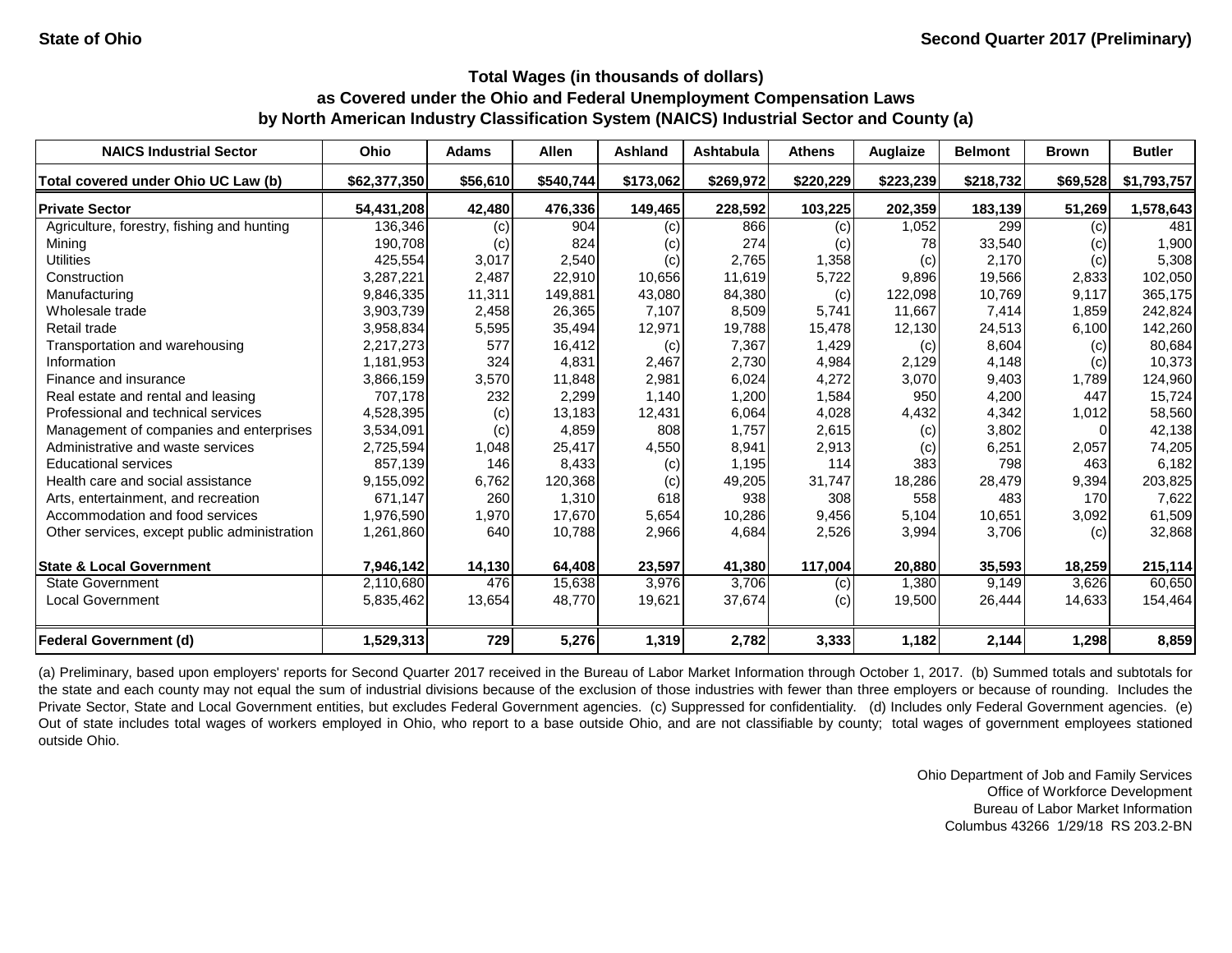| <b>NAICS Industrial Sector</b>               | <b>Ohio</b>  | <b>Adams</b> | <b>Allen</b> | <b>Ashland</b> | <b>Ashtabula</b> | <b>Athens</b> | Auglaize  | <b>Belmont</b> | <b>Brown</b> | <b>Butler</b> |
|----------------------------------------------|--------------|--------------|--------------|----------------|------------------|---------------|-----------|----------------|--------------|---------------|
| Total covered under Ohio UC Law (b)          | \$62,377,350 | \$56,610     | \$540,744    | \$173,062      | \$269,972        | \$220,229     | \$223,239 | \$218,732      | \$69,528     | \$1,793,757   |
| <b>Private Sector</b>                        | 54,431,208   | 42,480       | 476,336      | 149,465        | 228,592          | 103,225       | 202,359   | 183,139        | 51,269       | 1,578,643     |
| Agriculture, forestry, fishing and hunting   | 136,346      | (c)          | 904          | (c)            | 866              | (c)           | 1,052     | 299            | (c)          | 481           |
| Mining                                       | 190,708      | (c)          | 824          | (c)            | 274              | (c)           | 78        | 33,540         | (c)          | 1,900         |
| <b>Utilities</b>                             | 425,554      | 3,017        | 2,540        | (c)            | 2,765            | 1,358         | (c)       | 2,170          | (c)          | 5,308         |
| Construction                                 | 3,287,221    | 2,487        | 22,910       | 10,656         | 11,619           | 5,722         | 9,896     | 19,566         | 2,833        | 102,050       |
| Manufacturing                                | 9,846,335    | 11,311       | 149,881      | 43,080         | 84,380           | (c)           | 122,098   | 10,769         | 9,117        | 365,175       |
| Wholesale trade                              | 3,903,739    | 2,458        | 26,365       | 7,107          | 8,509            | 5,741         | 11,667    | 7,414          | 1,859        | 242,824       |
| Retail trade                                 | 3,958,834    | 5,595        | 35,494       | 12,971         | 19,788           | 15,478        | 12,130    | 24,513         | 6,100        | 142,260       |
| Transportation and warehousing               | 2,217,273    | 577          | 16,412       | (c)            | 7,367            | 1,429         | (c)       | 8,604          | (c)          | 80,684        |
| Information                                  | 1,181,953    | 324          | 4,831        | 2,467          | 2,730            | 4,984         | 2,129     | 4,148          | (c)          | 10,373        |
| Finance and insurance                        | 3,866,159    | 3,570        | 11,848       | 2,981          | 6,024            | 4,272         | 3,070     | 9,403          | 1,789        | 124,960       |
| Real estate and rental and leasing           | 707,178      | 232          | 2,299        | 1,140          | 1,200            | 1,584         | 950       | 4,200          | 447          | 15,724        |
| Professional and technical services          | 4,528,395    | (c)          | 13,183       | 12,431         | 6,064            | 4,028         | 4,432     | 4,342          | 1,012        | 58,560        |
| Management of companies and enterprises      | 3,534,091    | (c)          | 4,859        | 808            | 1,757            | 2,615         | (c)       | 3,802          |              | 42,138        |
| Administrative and waste services            | 2,725,594    | 1,048        | 25,417       | 4,550          | 8,941            | 2,913         | (c)       | 6,251          | 2,057        | 74,205        |
| <b>Educational services</b>                  | 857,139      | 146          | 8,433        | (c)            | 1,195            | 114           | 383       | 798            | 463          | 6,182         |
| Health care and social assistance            | 9,155,092    | 6,762        | 120,368      | (c)            | 49,205           | 31,747        | 18,286    | 28,479         | 9,394        | 203,825       |
| Arts, entertainment, and recreation          | 671,147      | 260          | 1,310        | 618            | 938              | 308           | 558       | 483            | 170          | 7,622         |
| Accommodation and food services              | 1,976,590    | 1,970        | 17,670       | 5,654          | 10,286           | 9,456         | 5,104     | 10,651         | 3,092        | 61,509        |
| Other services, except public administration | 1,261,860    | 640          | 10,788       | 2,966          | 4,684            | 2,526         | 3,994     | 3,706          | (c)          | 32,868        |
| <b>State &amp; Local Government</b>          | 7,946,142    | 14,130       | 64,408       | 23,597         | 41,380           | 117,004       | 20,880    | 35,593         | 18,259       | 215,114       |
| <b>State Government</b>                      | 2,110,680    | 476          | 15,638       | 3,976          | 3,706            | (c)           | 1,380     | 9,149          | 3,626        | 60,650        |
| <b>Local Government</b>                      | 5,835,462    | 13,654       | 48,770       | 19,621         | 37,674           | (c)           | 19,500    | 26,444         | 14,633       | 154,464       |
| <b>Federal Government (d)</b>                | 1,529,313    | 729          | 5,276        | 1,319          | 2,782            | 3,333         | 1,182     | 2,144          | 1,298        | 8,859         |

(a) Preliminary, based upon employers' reports for Second Quarter 2017 received in the Bureau of Labor Market Information through October 1, 2017. (b) Summed totals and subtotals for the state and each county may not equal the sum of industrial divisions because of the exclusion of those industries with fewer than three employers or because of rounding. Includes the Private Sector, State and Local Government entities, but excludes Federal Government agencies. (c) Suppressed for confidentiality. (d) Includes only Federal Government agencies. (e) Out of state includes total wages of workers employed in Ohio, who report to a base outside Ohio, and are not classifiable by county; total wages of government employees stationed outside Ohio.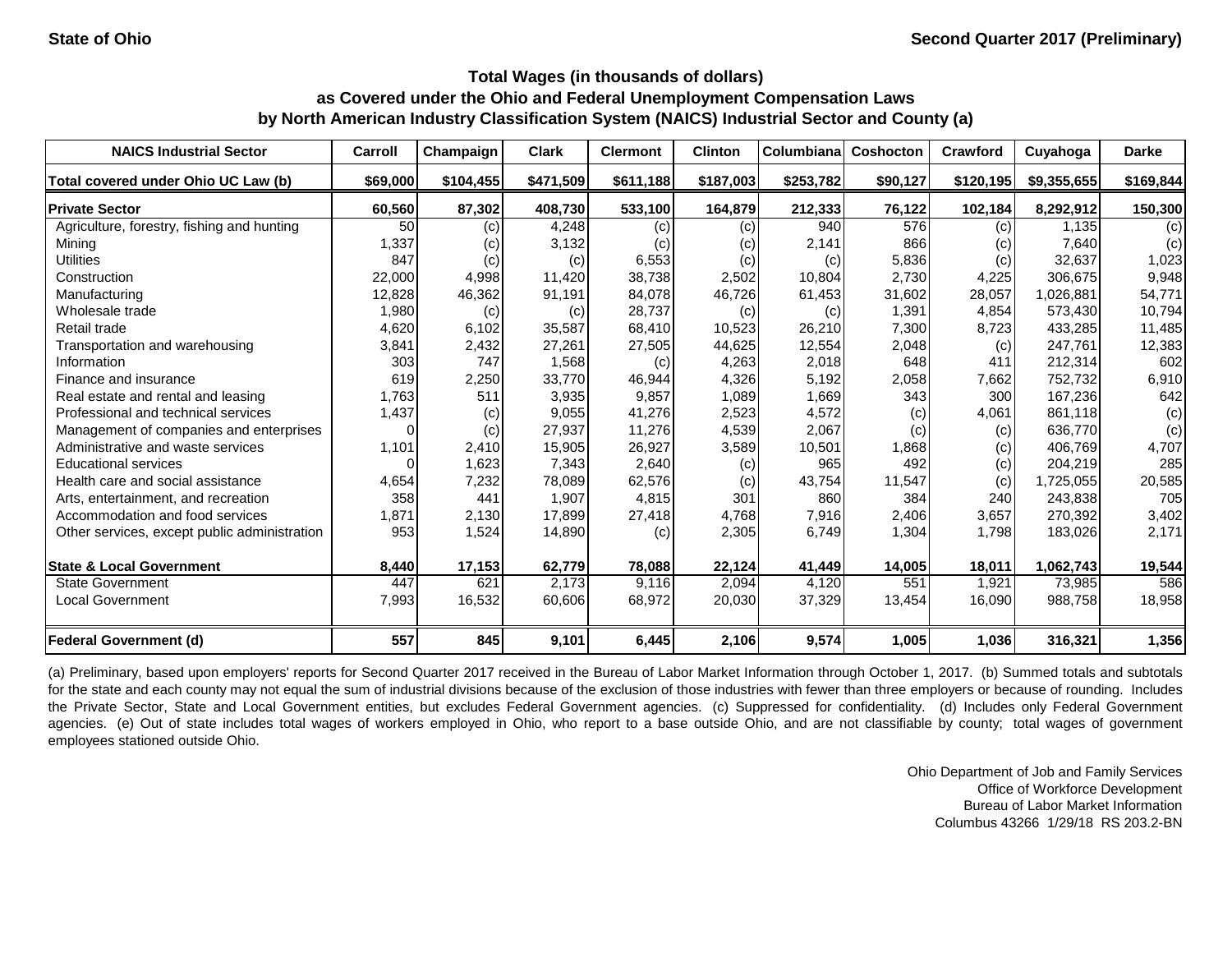| <b>NAICS Industrial Sector</b>               | Carroll  | Champaign | <b>Clark</b> | <b>Clermont</b> | <b>Clinton</b> | Columbiana | <b>Coshocton</b> | Crawford  | Cuyahoga    | <b>Darke</b> |
|----------------------------------------------|----------|-----------|--------------|-----------------|----------------|------------|------------------|-----------|-------------|--------------|
| Total covered under Ohio UC Law (b)          | \$69,000 | \$104,455 | \$471,509    | \$611,188       | \$187,003      | \$253,782  | \$90,127         | \$120,195 | \$9,355,655 | \$169,844    |
| <b>Private Sector</b>                        | 60,560   | 87,302    | 408,730      | 533,100         | 164,879        | 212,333    | 76,122           | 102,184   | 8,292,912   | 150,300      |
| Agriculture, forestry, fishing and hunting   | 50       | (c)       | 4,248        | (c)             | (c)            | 940        | 576              | (c)       | 1,135       | (c)          |
| Mining                                       | 1,337    | (c)       | 3,132        | (c)             | (c)            | 2,141      | 866              | (c)       | 7,640       | (c)          |
| <b>Utilities</b>                             | 847      | (c)       | (c)          | 6,553           | (c)            | (c)        | 5,836            | (c)       | 32,637      | 1,023        |
| Construction                                 | 22,000   | 4,998     | 11,420       | 38,738          | 2,502          | 10,804     | 2,730            | 4,225     | 306,675     | 9,948        |
| Manufacturing                                | 12,828   | 46,362    | 91,191       | 84,078          | 46,726         | 61,453     | 31,602           | 28,057    | 1,026,881   | 54,771       |
| Wholesale trade                              | 1,980    | (c)       | (c)          | 28,737          | (c)            | (c)        | 1,391            | 4,854     | 573,430     | 10,794       |
| Retail trade                                 | 4,620    | 6,102     | 35,587       | 68,410          | 10,523         | 26,210     | 7,300            | 8,723     | 433,285     | 11,485       |
| Transportation and warehousing               | 3,841    | 2,432     | 27,261       | 27,505          | 44,625         | 12,554     | 2,048            | (c)       | 247,761     | 12,383       |
| Information                                  | 303      | 747       | 1,568        | (c)             | 4,263          | 2,018      | 648              | 411       | 212,314     | 602          |
| Finance and insurance                        | 619      | 2,250     | 33,770       | 46,944          | 4,326          | 5,192      | 2,058            | 7,662     | 752,732     | 6,910        |
| Real estate and rental and leasing           | 1,763    | 511       | 3,935        | 9,857           | 1,089          | 1,669      | 343              | 300       | 167,236     | 642          |
| Professional and technical services          | 1,437    | (c)       | 9,055        | 41,276          | 2,523          | 4,572      | (c)              | 4,061     | 861,118     | (c)          |
| Management of companies and enterprises      | $\Omega$ | (c)       | 27,937       | 11,276          | 4,539          | 2,067      | (c)              | (c)       | 636,770     | (c)          |
| Administrative and waste services            | 1,101    | 2,410     | 15,905       | 26,927          | 3,589          | 10,501     | 1,868            | (c)       | 406,769     | 4,707        |
| <b>Educational services</b>                  | $\Omega$ | 1,623     | 7,343        | 2,640           | (c)            | 965        | 492              | (c)       | 204,219     | 285          |
| Health care and social assistance            | 4,654    | 7,232     | 78,089       | 62,576          | (c)            | 43,754     | 11,547           | (c)       | 1,725,055   | 20,585       |
| Arts, entertainment, and recreation          | 358      | 441       | 1,907        | 4,815           | 301            | 860        | 384              | 240       | 243,838     | 705          |
| Accommodation and food services              | 1,871    | 2,130     | 17,899       | 27,418          | 4,768          | 7,916      | 2,406            | 3,657     | 270,392     | 3,402        |
| Other services, except public administration | 953      | 1,524     | 14,890       | (c)             | 2,305          | 6,749      | 1,304            | 1,798     | 183,026     | 2,171        |
| <b>State &amp; Local Government</b>          | 8,440    | 17,153    | 62,779       | 78,088          | 22,124         | 41,449     | 14,005           | 18,011    | 1,062,743   | 19,544       |
| <b>State Government</b>                      | 447      | 621       | 2,173        | 9,116           | 2,094          | 4,120      | 551              | 1,921     | 73,985      | 586          |
| <b>Local Government</b>                      | 7,993    | 16,532    | 60,606       | 68,972          | 20,030         | 37,329     | 13,454           | 16,090    | 988,758     | 18,958       |
| <b>Federal Government (d)</b>                | 557      | 845       | 9,101        | 6,445           | 2,106          | 9,574      | 1,005            | 1,036     | 316,321     | 1,356        |

(a) Preliminary, based upon employers' reports for Second Quarter 2017 received in the Bureau of Labor Market Information through October 1, 2017. (b) Summed totals and subtotals for the state and each county may not equal the sum of industrial divisions because of the exclusion of those industries with fewer than three employers or because of rounding. Includes the Private Sector, State and Local Government entities, but excludes Federal Government agencies. (c) Suppressed for confidentiality. (d) Includes only Federal Government agencies. (e) Out of state includes total wages of workers employed in Ohio, who report to a base outside Ohio, and are not classifiable by county; total wages of government employees stationed outside Ohio.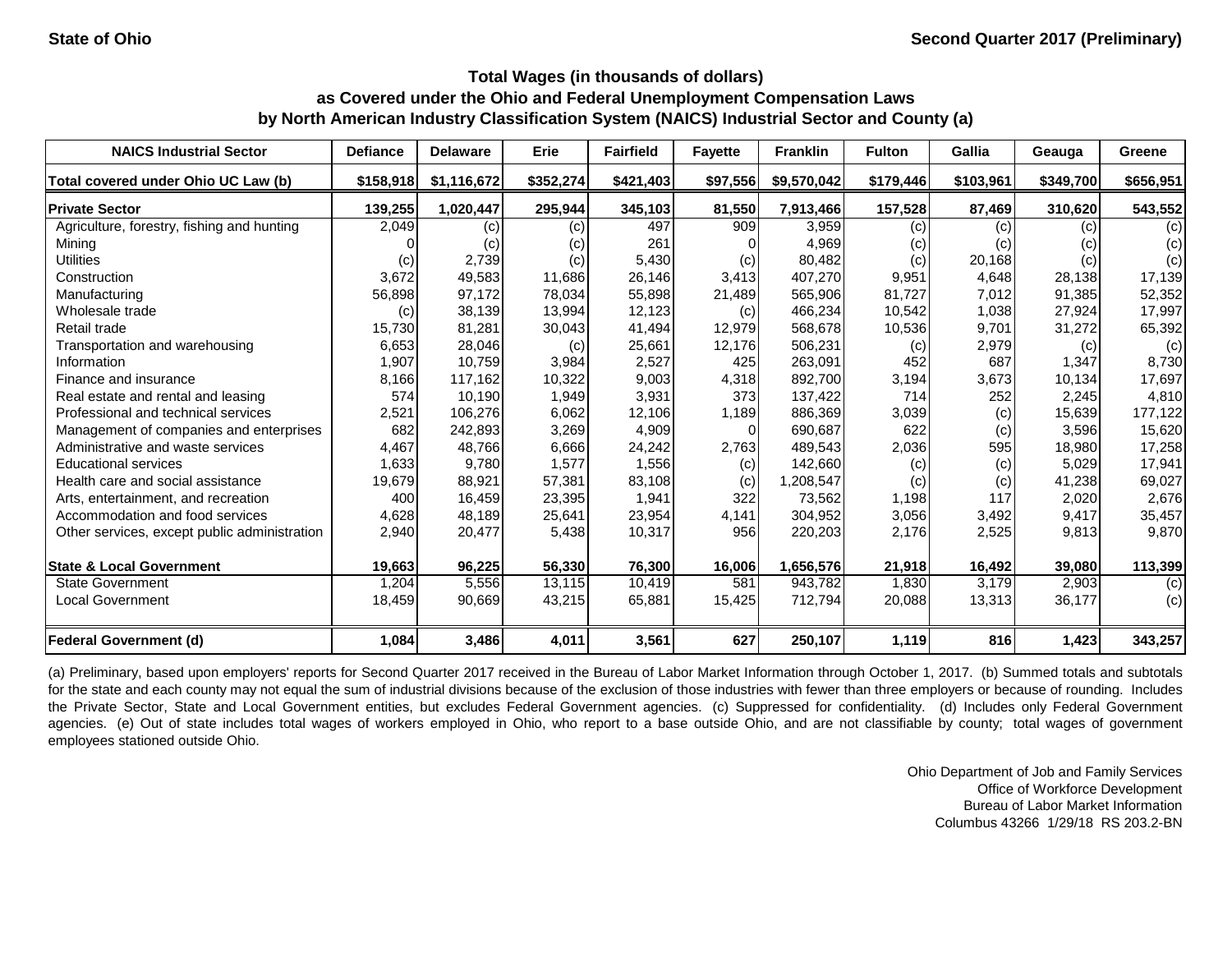| <b>NAICS Industrial Sector</b>               | <b>Defiance</b> | <b>Delaware</b> | Erie      | <b>Fairfield</b> | <b>Fayette</b> | <b>Franklin</b> | <b>Fulton</b> | Gallia    | Geauga    | Greene    |
|----------------------------------------------|-----------------|-----------------|-----------|------------------|----------------|-----------------|---------------|-----------|-----------|-----------|
| Total covered under Ohio UC Law (b)          | \$158,918       | \$1,116,672     | \$352,274 | \$421,403        | \$97,556       | \$9,570,042     | \$179,446     | \$103,961 | \$349,700 | \$656,951 |
| <b>Private Sector</b>                        | 139,255         | 1,020,447       | 295,944   | 345,103          | 81,550         | 7,913,466       | 157,528       | 87,469    | 310,620   | 543,552   |
| Agriculture, forestry, fishing and hunting   | 2,049           | (c)             | (c)       | 497              | 909            | 3,959           | (c)           | (c)       | (c)       | (c)       |
| Mining                                       |                 | (c)             | (c)       | 261              |                | 4,969           | (c)           | (c)       | (c)       | (c)       |
| <b>Utilities</b>                             | (c)             | 2,739           | (c)       | 5,430            | (c)            | 80,482          | (c)           | 20,168    | (c)       | (c)       |
| Construction                                 | 3,672           | 49,583          | 11,686    | 26,146           | 3,413          | 407,270         | 9,951         | 4,648     | 28,138    | 17,139    |
| Manufacturing                                | 56,898          | 97,172          | 78,034    | 55,898           | 21,489         | 565,906         | 81,727        | 7,012     | 91,385    | 52,352    |
| Wholesale trade                              | (c)             | 38,139          | 13,994    | 12,123           | (c)            | 466,234         | 10,542        | 1,038     | 27,924    | 17,997    |
| Retail trade                                 | 15,730          | 81,281          | 30,043    | 41,494           | 12,979         | 568,678         | 10,536        | 9,701     | 31,272    | 65,392    |
| Transportation and warehousing               | 6,653           | 28,046          | (c)       | 25,661           | 12,176         | 506,231         | (c)           | 2,979     | (c)       | (c)       |
| Information                                  | 1,907           | 10,759          | 3,984     | 2,527            | 425            | 263,091         | 452           | 687       | 1,347     | 8,730     |
| Finance and insurance                        | 8,166           | 117,162         | 10,322    | 9,003            | 4,318          | 892,700         | 3,194         | 3,673     | 10,134    | 17,697    |
| Real estate and rental and leasing           | 574             | 10,190          | 1,949     | 3,931            | 373            | 137,422         | 714           | 252       | 2,245     | 4,810     |
| Professional and technical services          | 2,521           | 106,276         | 6,062     | 12,106           | 1,189          | 886,369         | 3,039         | (c)       | 15,639    | 177,122   |
| Management of companies and enterprises      | 682             | 242,893         | 3,269     | 4,909            | $\Omega$       | 690,687         | 622           | (c)       | 3,596     | 15,620    |
| Administrative and waste services            | 4,467           | 48,766          | 6,666     | 24,242           | 2,763          | 489,543         | 2,036         | 595       | 18,980    | 17,258    |
| <b>Educational services</b>                  | 1,633           | 9,780           | 1,577     | 1,556            | (c)            | 142,660         | (c)           | (c)       | 5,029     | 17,941    |
| Health care and social assistance            | 19,679          | 88,921          | 57,381    | 83,108           | (c)            | 1,208,547       | (c)           | (c)       | 41,238    | 69,027    |
| Arts, entertainment, and recreation          | 400             | 16,459          | 23,395    | 1,941            | 322            | 73,562          | 1,198         | 117       | 2,020     | 2,676     |
| Accommodation and food services              | 4,628           | 48,189          | 25,641    | 23,954           | 4,141          | 304,952         | 3,056         | 3,492     | 9,417     | 35,457    |
| Other services, except public administration | 2,940           | 20,477          | 5,438     | 10,317           | 956            | 220,203         | 2,176         | 2,525     | 9,813     | 9,870     |
| <b>State &amp; Local Government</b>          | 19,663          | 96,225          | 56,330    | 76,300           | 16,006         | 1,656,576       | 21,918        | 16,492    | 39,080    | 113,399   |
| <b>State Government</b>                      | 1,204           | 5,556           | 13,115    | 10,419           | 581            | 943,782         | 1,830         | 3,179     | 2,903     | (c)       |
| <b>Local Government</b>                      | 18,459          | 90,669          | 43,215    | 65,881           | 15,425         | 712,794         | 20,088        | 13,313    | 36,177    | (c)       |
| <b>Federal Government (d)</b>                | 1,084           | 3,486           | 4,011     | 3,561            | 627            | 250,107         | 1,119         | 816       | 1,423     | 343,257   |

(a) Preliminary, based upon employers' reports for Second Quarter 2017 received in the Bureau of Labor Market Information through October 1, 2017. (b) Summed totals and subtotals for the state and each county may not equal the sum of industrial divisions because of the exclusion of those industries with fewer than three employers or because of rounding. Includes the Private Sector, State and Local Government entities, but excludes Federal Government agencies. (c) Suppressed for confidentiality. (d) Includes only Federal Government agencies. (e) Out of state includes total wages of workers employed in Ohio, who report to a base outside Ohio, and are not classifiable by county; total wages of government employees stationed outside Ohio.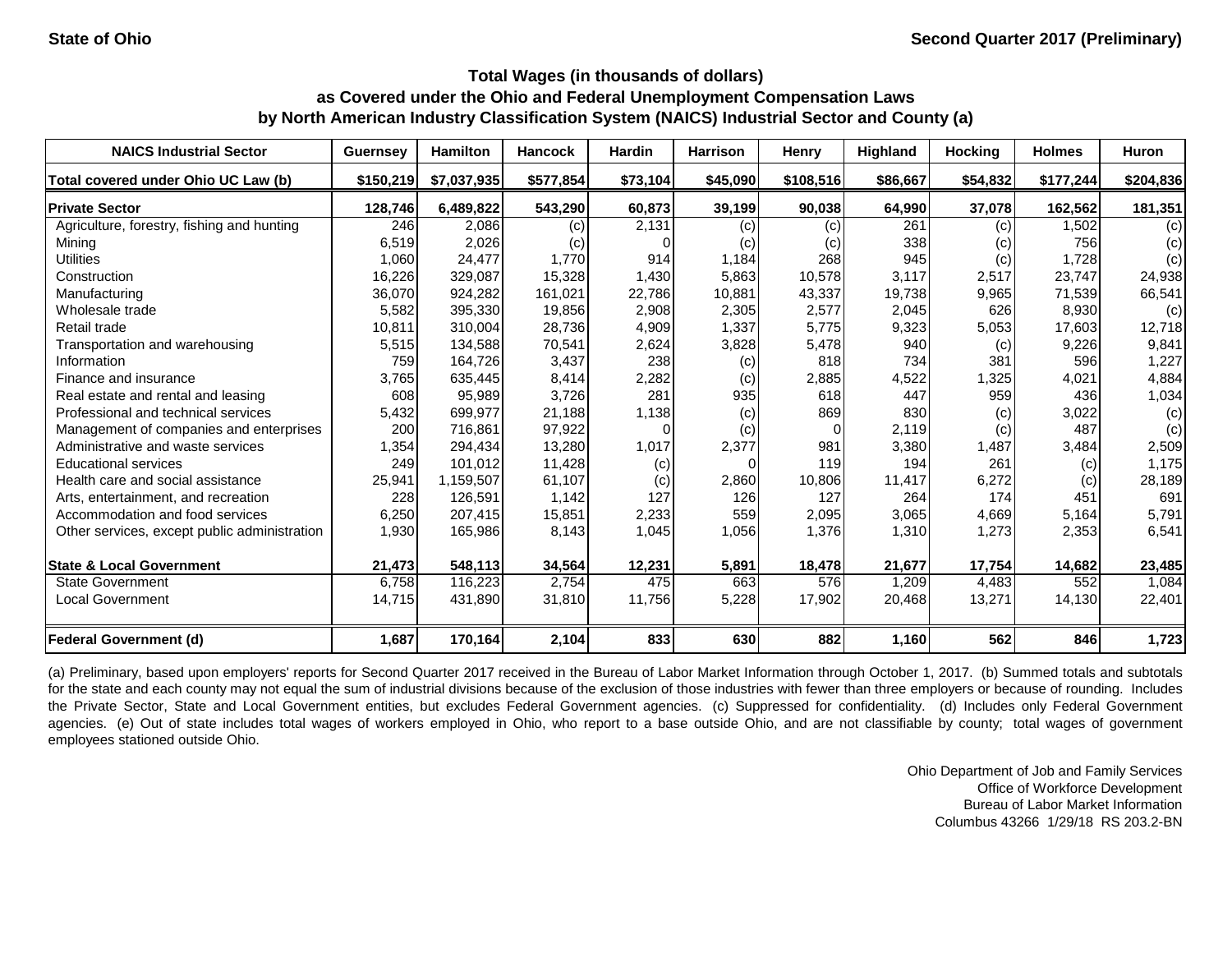| <b>NAICS Industrial Sector</b>               | <b>Guernsey</b> | <b>Hamilton</b> | <b>Hancock</b> | <b>Hardin</b> | <b>Harrison</b> | <b>Henry</b>       | <b>Highland</b> | <b>Hocking</b> | <b>Holmes</b> | Huron     |
|----------------------------------------------|-----------------|-----------------|----------------|---------------|-----------------|--------------------|-----------------|----------------|---------------|-----------|
| Total covered under Ohio UC Law (b)          | \$150,219       | \$7,037,935     | \$577,854      | \$73,104      | \$45,090        | \$108,516          | \$86,667        | \$54,832       | \$177,244     | \$204,836 |
| <b>Private Sector</b>                        | 128,746         | 6,489,822       | 543,290        | 60,873        | 39,199          | 90,038             | 64,990          | 37,078         | 162,562       | 181,351   |
| Agriculture, forestry, fishing and hunting   | 246             | 2,086           | (c)            | 2,131         | (c)             | (c)                | 261             | (c)            | .502          | (c)       |
| Mining                                       | 6,519           | 2,026           | (c)            |               | (c)             | $\left( c \right)$ | 338             | (c)            | 756           | (c)       |
| <b>Utilities</b>                             | 1,060           | 24,477          | 1,770          | 914           | 1,184           | 268                | 945             | (c)            | 1,728         | (c)       |
| Construction                                 | 16,226          | 329,087         | 15,328         | 1,430         | 5,863           | 10,578             | 3,117           | 2,517          | 23,747        | 24,938    |
| Manufacturing                                | 36,070          | 924,282         | 161,021        | 22,786        | 10,881          | 43,337             | 19,738          | 9,965          | 71,539        | 66,541    |
| Wholesale trade                              | 5,582           | 395,330         | 19,856         | 2,908         | 2,305           | 2,577              | 2,045           | 626            | 8,930         | (c)       |
| Retail trade                                 | 10,811          | 310,004         | 28,736         | 4,909         | 1,337           | 5,775              | 9,323           | 5,053          | 17,603        | 12,718    |
| Transportation and warehousing               | 5,515           | 134,588         | 70,541         | 2,624         | 3,828           | 5,478              | 940             | (c)            | 9,226         | 9,841     |
| Information                                  | 759             | 164,726         | 3,437          | 238           | (c)             | 818                | 734             | 381            | 596           | 1,227     |
| Finance and insurance                        | 3,765           | 635,445         | 8,414          | 2,282         | (c)             | 2,885              | 4,522           | 1,325          | 4,021         | 4,884     |
| Real estate and rental and leasing           | 608             | 95,989          | 3,726          | 281           | 935             | 618                | 447             | 959            | 436           | 1,034     |
| Professional and technical services          | 5,432           | 699,977         | 21,188         | 1,138         | (c)             | 869                | 830             | (c)            | 3,022         | (c)       |
| Management of companies and enterprises      | 200             | 716,861         | 97,922         |               | (c)             | $\Omega$           | 2,119           | (c)            | 487           | (c)       |
| Administrative and waste services            | 1,354           | 294,434         | 13,280         | 1,017         | 2,377           | 981                | 3,380           | 1,487          | 3,484         | 2,509     |
| <b>Educational services</b>                  | 249             | 101,012         | 11,428         | (c)           | $\Omega$        | 119                | 194             | 261            | (c)           | 1,175     |
| Health care and social assistance            | 25,941          | 1,159,507       | 61,107         | (c)           | 2,860           | 10,806             | 11,417          | 6,272          | (c)           | 28,189    |
| Arts, entertainment, and recreation          | 228             | 126,591         | 1,142          | 127           | 126             | 127                | 264             | 174            | 451           | 691       |
| Accommodation and food services              | 6,250           | 207,415         | 15,851         | 2,233         | 559             | 2,095              | 3,065           | 4,669          | 5,164         | 5,791     |
| Other services, except public administration | 1,930           | 165,986         | 8,143          | 1,045         | 1,056           | 1,376              | 1,310           | 1,273          | 2,353         | 6,541     |
| <b>State &amp; Local Government</b>          | 21,473          | 548,113         | 34,564         | 12,231        | 5,891           | 18,478             | 21,677          | 17,754         | 14,682        | 23,485    |
| <b>State Government</b>                      | 6,758           | 116,223         | 2,754          | 475           | 663             | 576                | 1,209           | 4,483          | 552           | 1,084     |
| <b>Local Government</b>                      | 14,715          | 431,890         | 31,810         | 11,756        | 5,228           | 17,902             | 20,468          | 13,271         | 14,130        | 22,401    |
| <b>Federal Government (d)</b>                | 1,687           | 170,164         | 2,104          | 833           | 630             | 882                | 1,160           | 562            | 846           | 1,723     |

(a) Preliminary, based upon employers' reports for Second Quarter 2017 received in the Bureau of Labor Market Information through October 1, 2017. (b) Summed totals and subtotals for the state and each county may not equal the sum of industrial divisions because of the exclusion of those industries with fewer than three employers or because of rounding. Includes the Private Sector, State and Local Government entities, but excludes Federal Government agencies. (c) Suppressed for confidentiality. (d) Includes only Federal Government agencies. (e) Out of state includes total wages of workers employed in Ohio, who report to a base outside Ohio, and are not classifiable by county; total wages of government employees stationed outside Ohio.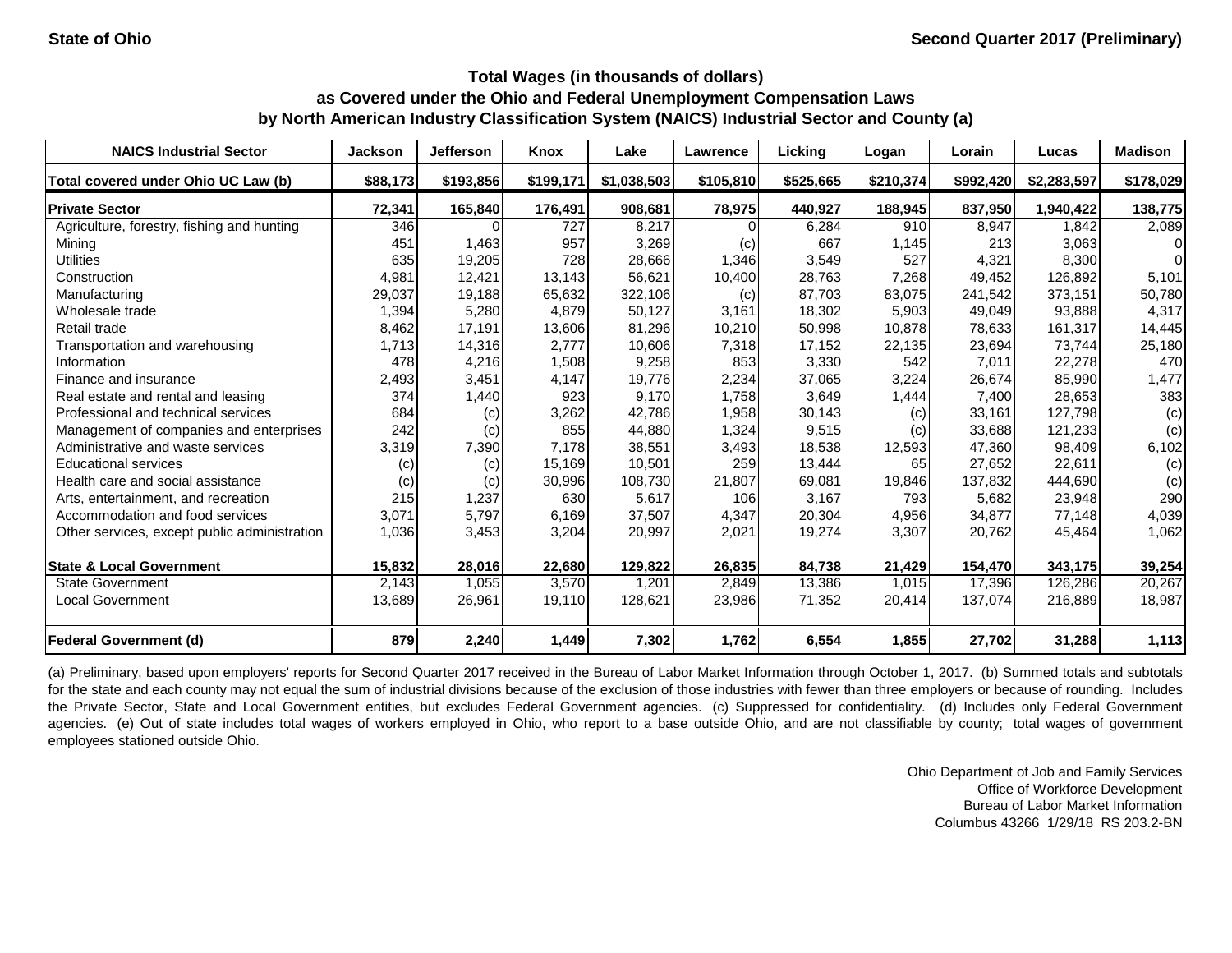| <b>NAICS Industrial Sector</b>               | <b>Jackson</b> | <b>Jefferson</b> | Knox      | Lake        | Lawrence  | Licking   | Logan     | Lorain    | Lucas       | <b>Madison</b> |
|----------------------------------------------|----------------|------------------|-----------|-------------|-----------|-----------|-----------|-----------|-------------|----------------|
| Total covered under Ohio UC Law (b)          | \$88,173       | \$193,856        | \$199,171 | \$1,038,503 | \$105,810 | \$525,665 | \$210,374 | \$992,420 | \$2,283,597 | \$178,029      |
| <b>Private Sector</b>                        | 72,341         | 165,840          | 176,491   | 908,681     | 78,975    | 440,927   | 188,945   | 837,950   | 1,940,422   | 138,775        |
| Agriculture, forestry, fishing and hunting   | 346            |                  | 727       | 8,217       |           | 6,284     | 910       | 8,947     | 1,842       | 2,089          |
| Mining                                       | 451            | 1,463            | 957       | 3,269       | (c)       | 667       | 1,145     | 213       | 3,063       | 0              |
| <b>Utilities</b>                             | 635            | 19,205           | 728       | 28,666      | 1,346     | 3,549     | 527       | 4,321     | 8,300       | $\Omega$       |
| Construction                                 | 4,981          | 12,421           | 13,143    | 56,621      | 10,400    | 28,763    | 7,268     | 49,452    | 126,892     | 5,101          |
| Manufacturing                                | 29,037         | 19,188           | 65,632    | 322,106     | (c)       | 87,703    | 83,075    | 241,542   | 373,151     | 50,780         |
| Wholesale trade                              | 1,394          | 5,280            | 4,879     | 50,127      | 3,161     | 18,302    | 5,903     | 49,049    | 93,888      | 4,317          |
| Retail trade                                 | 8,462          | 17,191           | 13,606    | 81,296      | 10,210    | 50,998    | 10,878    | 78,633    | 161,317     | 14,445         |
| Transportation and warehousing               | 1,713          | 14,316           | 2,777     | 10,606      | 7,318     | 17,152    | 22,135    | 23,694    | 73,744      | 25,180         |
| Information                                  | 478            | 4,216            | 1,508     | 9,258       | 853       | 3,330     | 542       | 7,011     | 22,278      | 470            |
| Finance and insurance                        | 2,493          | 3,451            | 4,147     | 19,776      | 2,234     | 37,065    | 3,224     | 26,674    | 85,990      | 1,477          |
| Real estate and rental and leasing           | 374            | 1,440            | 923       | 9,170       | 1,758     | 3,649     | 1,444     | 7,400     | 28,653      | 383            |
| Professional and technical services          | 684            | (c)              | 3,262     | 42,786      | 1,958     | 30,143    | (c)       | 33,161    | 127,798     | (c)            |
| Management of companies and enterprises      | 242            | (c)              | 855       | 44,880      | 1,324     | 9,515     | (c)       | 33,688    | 121,233     | (c)            |
| Administrative and waste services            | 3,319          | 7,390            | 7,178     | 38,551      | 3,493     | 18,538    | 12,593    | 47,360    | 98,409      | 6,102          |
| <b>Educational services</b>                  | (c)            | (c)              | 15,169    | 10,501      | 259       | 13,444    | 65        | 27,652    | 22,611      | (c)            |
| Health care and social assistance            | (c)            | (c)              | 30,996    | 108,730     | 21,807    | 69,081    | 19,846    | 137,832   | 444,690     | (c)            |
| Arts, entertainment, and recreation          | 215            | 1,237            | 630       | 5,617       | 106       | 3,167     | 793       | 5,682     | 23,948      | 290            |
| Accommodation and food services              | 3,071          | 5,797            | 6,169     | 37,507      | 4,347     | 20,304    | 4,956     | 34,877    | 77,148      | 4,039          |
| Other services, except public administration | 1,036          | 3,453            | 3,204     | 20,997      | 2,021     | 19,274    | 3,307     | 20,762    | 45,464      | 1,062          |
| <b>State &amp; Local Government</b>          | 15,832         | 28,016           | 22,680    | 129,822     | 26,835    | 84,738    | 21,429    | 154,470   | 343,175     | 39,254         |
| <b>State Government</b>                      | 2,143          | 1,055            | 3,570     | 1,201       | 2,849     | 13,386    | 1,015     | 17,396    | 126,286     | 20,267         |
| <b>Local Government</b>                      | 13,689         | 26,961           | 19,110    | 128,621     | 23,986    | 71,352    | 20,414    | 137,074   | 216,889     | 18,987         |
| <b>Federal Government (d)</b>                | 879            | 2,240            | 1,449     | 7,302       | 1,762     | 6,554     | 1,855     | 27,702    | 31,288      | 1,113          |

(a) Preliminary, based upon employers' reports for Second Quarter 2017 received in the Bureau of Labor Market Information through October 1, 2017. (b) Summed totals and subtotals for the state and each county may not equal the sum of industrial divisions because of the exclusion of those industries with fewer than three employers or because of rounding. Includes the Private Sector, State and Local Government entities, but excludes Federal Government agencies. (c) Suppressed for confidentiality. (d) Includes only Federal Government agencies. (e) Out of state includes total wages of workers employed in Ohio, who report to a base outside Ohio, and are not classifiable by county; total wages of government employees stationed outside Ohio.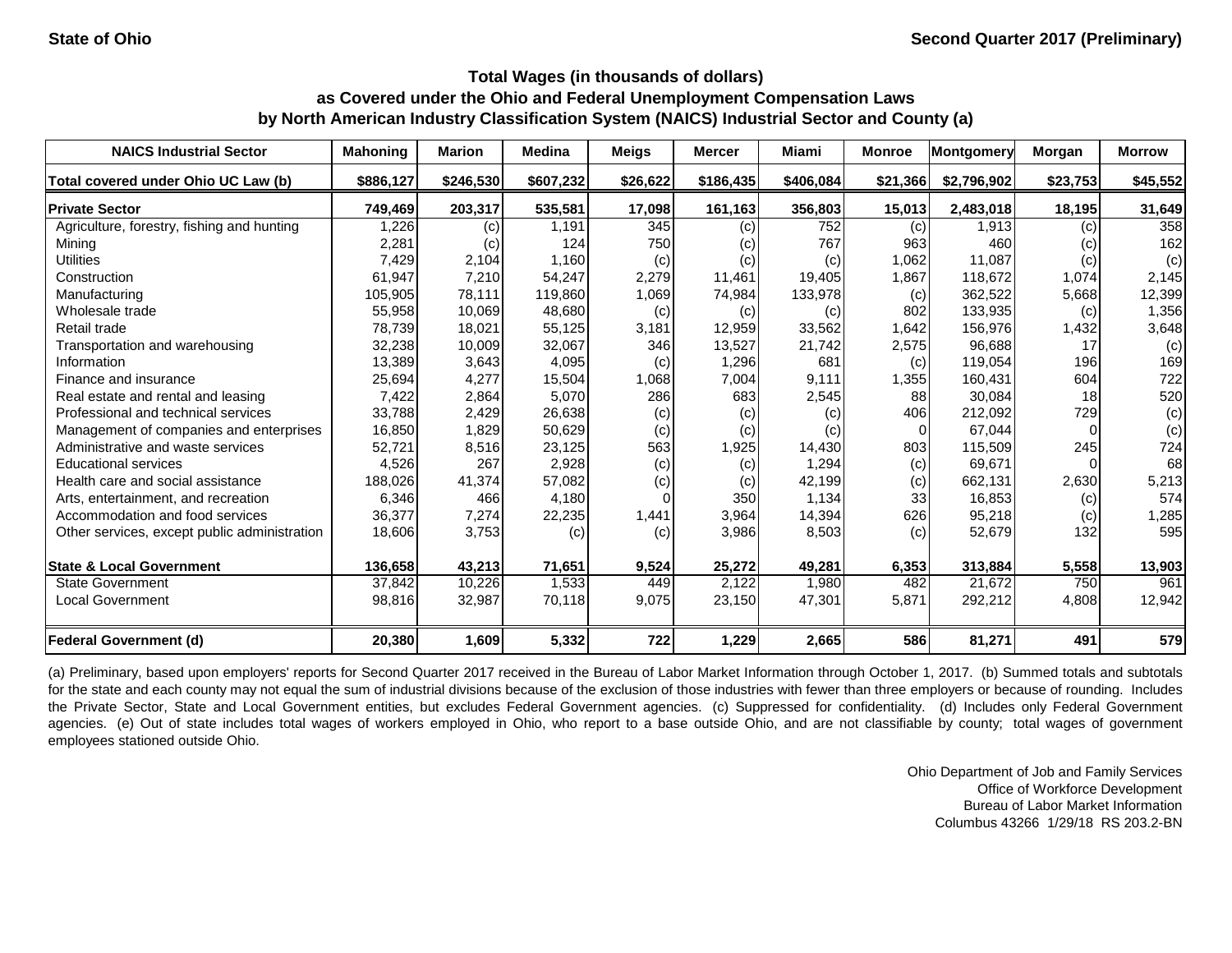| <b>NAICS Industrial Sector</b>               | <b>Mahoning</b> | <b>Marion</b> | <b>Medina</b> | <b>Meigs</b> | <b>Mercer</b> | Miami     | <b>Monroe</b> | Montgomery  | Morgan   | <b>Morrow</b> |
|----------------------------------------------|-----------------|---------------|---------------|--------------|---------------|-----------|---------------|-------------|----------|---------------|
| Total covered under Ohio UC Law (b)          | \$886,127       | \$246,530     | \$607,232     | \$26,622     | \$186,435     | \$406,084 | \$21,366      | \$2,796,902 | \$23,753 | \$45,552      |
| <b>Private Sector</b>                        | 749,469         | 203,317       | 535,581       | 17,098       | 161,163       | 356,803   | 15,013        | 2,483,018   | 18,195   | 31,649        |
| Agriculture, forestry, fishing and hunting   | 1,226           | (c)           | 1,191         | 345          | (c)           | 752       | (c)           | 1,913       | (c)      | 358           |
| Mining                                       | 2,281           | (c)           | 124           | 750          | (c)           | 767       | 963           | 460         | (c)      | 162           |
| <b>Utilities</b>                             | 7,429           | 2,104         | 1,160         | (c)          | (c)           | (c)       | 1,062         | 11,087      | (c)      | (c)           |
| Construction                                 | 61,947          | 7,210         | 54,247        | 2,279        | 11,461        | 19,405    | 1,867         | 118,672     | 1,074    | 2,145         |
| Manufacturing                                | 105,905         | 78,111        | 119,860       | 1,069        | 74,984        | 133,978   | (c)           | 362,522     | 5,668    | 12,399        |
| Wholesale trade                              | 55,958          | 10,069        | 48,680        | (c)          | (c)           | (c)       | 802           | 133,935     | (c)      | 1,356         |
| Retail trade                                 | 78,739          | 18,021        | 55,125        | 3,181        | 12,959        | 33,562    | 1,642         | 156,976     | 1,432    | 3,648         |
| Transportation and warehousing               | 32,238          | 10,009        | 32,067        | 346          | 13,527        | 21,742    | 2,575         | 96,688      | 17       | (c)           |
| Information                                  | 13,389          | 3,643         | 4,095         | (c)          | 1,296         | 681       | (c)           | 119,054     | 196      | 169           |
| Finance and insurance                        | 25,694          | 4,277         | 15,504        | 1,068        | 7,004         | 9,111     | 1,355         | 160,431     | 604      | 722           |
| Real estate and rental and leasing           | 7,422           | 2,864         | 5,070         | 286          | 683           | 2,545     | 88            | 30,084      | 18       | 520           |
| Professional and technical services          | 33,788          | 2,429         | 26,638        | (c)          | (c)           | (c)       | 406           | 212,092     | 729      | (c)           |
| Management of companies and enterprises      | 16,850          | 1,829         | 50,629        | (c)          | (c)           | (c)       | $\Omega$      | 67,044      |          | (c)           |
| Administrative and waste services            | 52,721          | 8,516         | 23,125        | 563          | 1,925         | 14,430    | 803           | 115,509     | 245      | 724           |
| <b>Educational services</b>                  | 4,526           | 267           | 2,928         | (c)          | (c)           | 1,294     | (c)           | 69,671      |          | 68            |
| Health care and social assistance            | 188,026         | 41,374        | 57,082        | (c)          | (c)           | 42,199    | (c)           | 662,131     | 2,630    | 5,213         |
| Arts, entertainment, and recreation          | 6,346           | 466           | 4,180         |              | 350           | 1,134     | 33            | 16,853      | (c)      | 574           |
| Accommodation and food services              | 36,377          | 7,274         | 22,235        | 1,441        | 3,964         | 14,394    | 626           | 95,218      | (c)      | 1,285         |
| Other services, except public administration | 18,606          | 3,753         | (c)           | (c)          | 3,986         | 8,503     | (c)           | 52,679      | 132      | 595           |
| <b>State &amp; Local Government</b>          | 136,658         | 43,213        | 71,651        | 9,524        | 25,272        | 49,281    | 6,353         | 313,884     | 5,558    | 13,903        |
| <b>State Government</b>                      | 37,842          | 10,226        | 1,533         | 449          | 2,122         | 1,980     | 482           | 21,672      | 750      | 961           |
| <b>Local Government</b>                      | 98,816          | 32,987        | 70,118        | 9,075        | 23,150        | 47,301    | 5,871         | 292,212     | 4,808    | 12,942        |
| <b>Federal Government (d)</b>                | 20,380          | 1,609         | 5,332         | 722          | 1,229         | 2,665     | 586           | 81,271      | 491      | 579           |

(a) Preliminary, based upon employers' reports for Second Quarter 2017 received in the Bureau of Labor Market Information through October 1, 2017. (b) Summed totals and subtotals for the state and each county may not equal the sum of industrial divisions because of the exclusion of those industries with fewer than three employers or because of rounding. Includes the Private Sector, State and Local Government entities, but excludes Federal Government agencies. (c) Suppressed for confidentiality. (d) Includes only Federal Government agencies. (e) Out of state includes total wages of workers employed in Ohio, who report to a base outside Ohio, and are not classifiable by county; total wages of government employees stationed outside Ohio.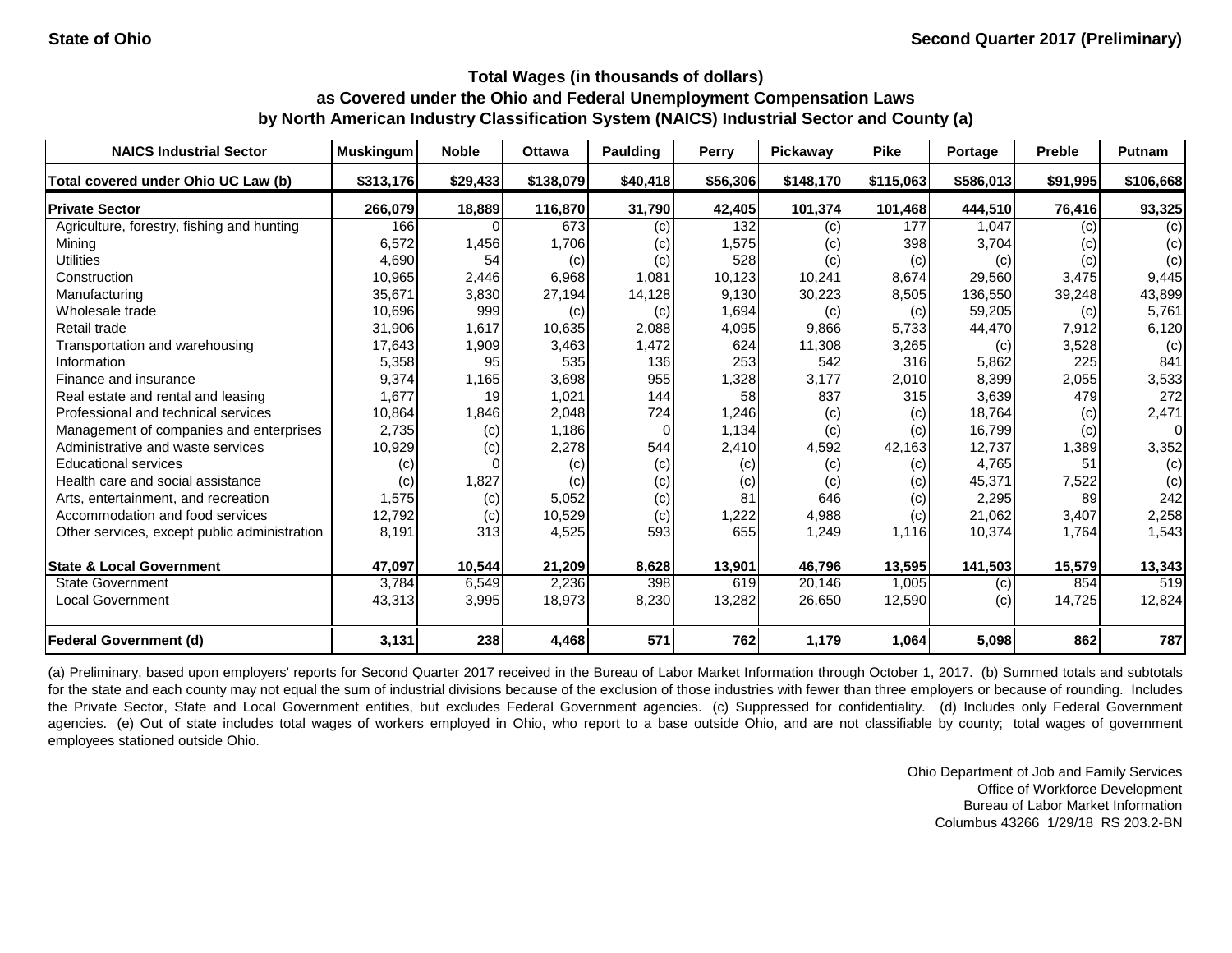| <b>NAICS Industrial Sector</b>               | <b>Muskingum</b> | <b>Noble</b> | <b>Ottawa</b> | <b>Paulding</b> | Perry    | <b>Pickaway</b> | <b>Pike</b> | Portage   | <b>Preble</b> | Putnam    |
|----------------------------------------------|------------------|--------------|---------------|-----------------|----------|-----------------|-------------|-----------|---------------|-----------|
| Total covered under Ohio UC Law (b)          | \$313,176        | \$29,433     | \$138,079     | \$40,418        | \$56,306 | \$148,170       | \$115,063   | \$586,013 | \$91,995      | \$106,668 |
| <b>Private Sector</b>                        | 266,079          | 18,889       | 116,870       | 31,790          | 42,405   | 101,374         | 101,468     | 444,510   | 76,416        | 93,325    |
| Agriculture, forestry, fishing and hunting   | 166              | $\Omega$     | 673           | (c)             | 132      | (c)             | 177         | 1,047     | (c)           | (c)       |
| Mining                                       | 6,572            | 1,456        | 1,706         | (c)             | 1,575    | (c)             | 398         | 3,704     | (c)           | (c)       |
| <b>Utilities</b>                             | 4,690            | 54           | (c)           | (c)             | 528      | (c)             | (c)         | (c)       | (c)           | (c)       |
| Construction                                 | 10,965           | 2,446        | 6,968         | 1,081           | 10,123   | 10,241          | 8,674       | 29,560    | 3,475         | 9,445     |
| Manufacturing                                | 35,671           | 3,830        | 27,194        | 14,128          | 9,130    | 30,223          | 8,505       | 136,550   | 39,248        | 43,899    |
| Wholesale trade                              | 10,696           | 999          | (c)           | (c)             | 1,694    | (c)             | (c)         | 59,205    | (c)           | 5,761     |
| Retail trade                                 | 31,906           | 1,617        | 10,635        | 2,088           | 4,095    | 9,866           | 5,733       | 44,470    | 7,912         | 6,120     |
| Transportation and warehousing               | 17,643           | 1,909        | 3,463         | 1,472           | 624      | 11,308          | 3,265       | (c)       | 3,528         | (c)       |
| Information                                  | 5,358            | 95           | 535           | 136             | 253      | 542             | 316         | 5,862     | 225           | 841       |
| Finance and insurance                        | 9,374            | 1,165        | 3,698         | 955             | 1,328    | 3,177           | 2,010       | 8,399     | 2,055         | 3,533     |
| Real estate and rental and leasing           | 1,677            | 19           | 1,021         | 144             | 58       | 837             | 315         | 3,639     | 479           | 272       |
| Professional and technical services          | 10,864           | 1,846        | 2,048         | 724             | 1,246    | (c)             | (c)         | 18,764    | (c)           | 2,471     |
| Management of companies and enterprises      | 2,735            | (c)          | 1,186         | $\Omega$        | 1,134    | (c)             | (c)         | 16,799    | (c)           | 0         |
| Administrative and waste services            | 10,929           | (c)          | 2,278         | 544             | 2,410    | 4,592           | 42,163      | 12,737    | 1,389         | 3,352     |
| <b>Educational services</b>                  | (c)              |              | (c)           | (c)             | (c)      | (c)             | (c)         | 4,765     | 51            | (c)       |
| Health care and social assistance            | (c)              | 1,827        | (c)           | (c)             | (c)      | (c)             | (c)         | 45,371    | 7,522         | (c)       |
| Arts, entertainment, and recreation          | 1,575            | (c)          | 5,052         | (c)             | 81       | 646             | (c)         | 2,295     | 89            | 242       |
| Accommodation and food services              | 12,792           | (c)          | 10,529        | (c)             | 1,222    | 4,988           | (c)         | 21,062    | 3,407         | 2,258     |
| Other services, except public administration | 8,191            | 313          | 4,525         | 593             | 655      | 1,249           | 1,116       | 10,374    | 1,764         | 1,543     |
| <b>State &amp; Local Government</b>          | 47,097           | 10,544       | 21,209        | 8,628           | 13,901   | 46,796          | 13,595      | 141,503   | 15,579        | 13,343    |
| <b>State Government</b>                      | 3,784            | 6,549        | 2,236         | 398             | 619      | 20,146          | 1,005       | (c)       | 854           | 519       |
| Local Government                             | 43,313           | 3,995        | 18,973        | 8,230           | 13,282   | 26,650          | 12,590      | (c)       | 14,725        | 12,824    |
| <b>Federal Government (d)</b>                | 3,131            | 238          | 4,468         | 571             | 762      | 1,179           | 1,064       | 5,098     | 862           | 787       |

(a) Preliminary, based upon employers' reports for Second Quarter 2017 received in the Bureau of Labor Market Information through October 1, 2017. (b) Summed totals and subtotals for the state and each county may not equal the sum of industrial divisions because of the exclusion of those industries with fewer than three employers or because of rounding. Includes the Private Sector, State and Local Government entities, but excludes Federal Government agencies. (c) Suppressed for confidentiality. (d) Includes only Federal Government agencies. (e) Out of state includes total wages of workers employed in Ohio, who report to a base outside Ohio, and are not classifiable by county; total wages of government employees stationed outside Ohio.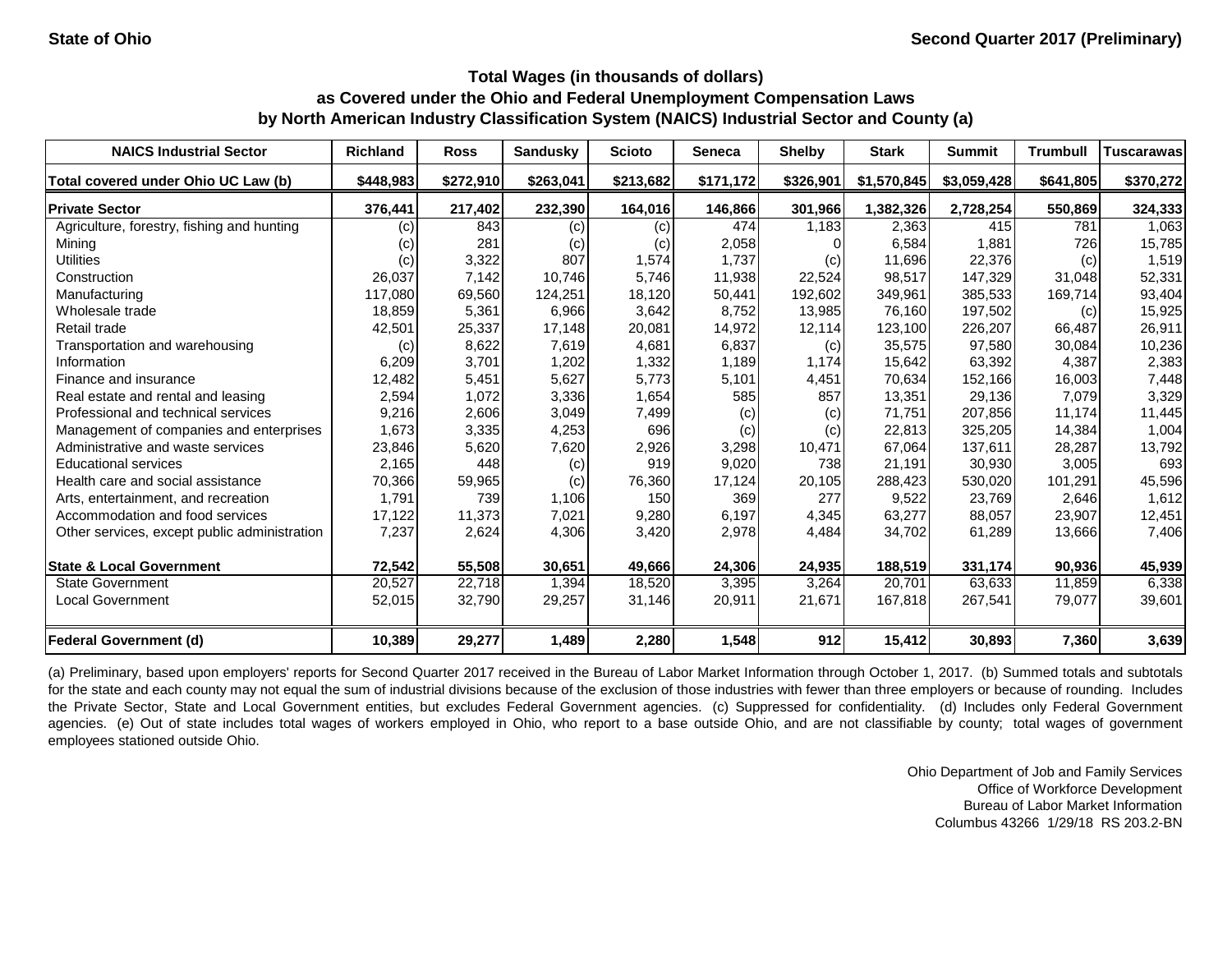| <b>NAICS Industrial Sector</b>               | <b>Richland</b> | <b>Ross</b> | <b>Sandusky</b> | <b>Scioto</b> | <b>Seneca</b> | <b>Shelby</b> | <b>Stark</b> | <b>Summit</b> | <b>Trumbull</b> | Tuscarawasl |
|----------------------------------------------|-----------------|-------------|-----------------|---------------|---------------|---------------|--------------|---------------|-----------------|-------------|
| Total covered under Ohio UC Law (b)          | \$448,983       | \$272,910   | \$263,041       | \$213,682     | \$171,172     | \$326,901     | \$1,570,845  | \$3,059,428   | \$641,805       | \$370,272   |
| <b>Private Sector</b>                        | 376,441         | 217,402     | 232,390         | 164,016       | 146,866       | 301,966       | 1,382,326    | 2,728,254     | 550,869         | 324,333     |
| Agriculture, forestry, fishing and hunting   | (c)             | 843         | (c)             | (c)           | 474           | 1,183         | 2,363        | 415           | 781             | 1,063       |
| Mining                                       | (c)             | 281         | (c)             | (c)           | 2,058         |               | 6,584        | 1,881         | 726             | 15,785      |
| <b>Utilities</b>                             | (c)             | 3,322       | 807             | 1,574         | 1,737         | (c)           | 11,696       | 22,376        | (c)             | 1,519       |
| Construction                                 | 26,037          | 7,142       | 10,746          | 5,746         | 11,938        | 22,524        | 98,517       | 147,329       | 31,048          | 52,331      |
| Manufacturing                                | 117,080         | 69,560      | 124,251         | 18,120        | 50,441        | 192,602       | 349,961      | 385,533       | 169,714         | 93,404      |
| Wholesale trade                              | 18,859          | 5,361       | 6,966           | 3,642         | 8,752         | 13,985        | 76,160       | 197,502       | (c)             | 15,925      |
| Retail trade                                 | 42,501          | 25,337      | 17,148          | 20,081        | 14,972        | 12,114        | 123,100      | 226,207       | 66,487          | 26,911      |
| Transportation and warehousing               | (c)             | 8,622       | 7,619           | 4,681         | 6,837         | (c)           | 35,575       | 97,580        | 30,084          | 10,236      |
| Information                                  | 6,209           | 3,701       | 1,202           | 1,332         | 1,189         | 1,174         | 15,642       | 63,392        | 4,387           | 2,383       |
| Finance and insurance                        | 12,482          | 5,451       | 5,627           | 5,773         | 5,101         | 4,451         | 70,634       | 152,166       | 16,003          | 7,448       |
| Real estate and rental and leasing           | 2,594           | 1,072       | 3,336           | 1,654         | 585           | 857           | 13,351       | 29,136        | 7,079           | 3,329       |
| Professional and technical services          | 9,216           | 2,606       | 3,049           | 7,499         | (c)           | (c)           | 71,751       | 207,856       | 11,174          | 11,445      |
| Management of companies and enterprises      | 1,673           | 3,335       | 4,253           | 696           | (c)           | (c)           | 22,813       | 325,205       | 14,384          | 1,004       |
| Administrative and waste services            | 23,846          | 5,620       | 7,620           | 2,926         | 3,298         | 10,471        | 67,064       | 137,611       | 28,287          | 13,792      |
| <b>Educational services</b>                  | 2,165           | 448         | (c)             | 919           | 9,020         | 738           | 21,191       | 30,930        | 3,005           | 693         |
| Health care and social assistance            | 70,366          | 59,965      | (c)             | 76,360        | 17,124        | 20,105        | 288,423      | 530,020       | 101,291         | 45,596      |
| Arts, entertainment, and recreation          | 1,791           | 739         | 1,106           | 150           | 369           | 277           | 9,522        | 23,769        | 2,646           | 1,612       |
| Accommodation and food services              | 17,122          | 11,373      | 7,021           | 9,280         | 6,197         | 4,345         | 63,277       | 88,057        | 23,907          | 12,451      |
| Other services, except public administration | 7,237           | 2,624       | 4,306           | 3,420         | 2,978         | 4,484         | 34,702       | 61,289        | 13,666          | 7,406       |
| <b>State &amp; Local Government</b>          | 72,542          | 55,508      | 30,651          | 49,666        | 24,306        | 24,935        | 188,519      | 331,174       | 90,936          | 45,939      |
| <b>State Government</b>                      | 20,527          | 22,718      | 1,394           | 18,520        | 3,395         | 3,264         | 20,701       | 63,633        | 11,859          | 6,338       |
| Local Government                             | 52,015          | 32,790      | 29,257          | 31,146        | 20,911        | 21,671        | 167,818      | 267,541       | 79,077          | 39,601      |
| <b>Federal Government (d)</b>                | 10,389          | 29,277      | 1,489           | 2,280         | 1,548         | 912           | 15,412       | 30,893        | 7,360           | 3,639       |

(a) Preliminary, based upon employers' reports for Second Quarter 2017 received in the Bureau of Labor Market Information through October 1, 2017. (b) Summed totals and subtotals for the state and each county may not equal the sum of industrial divisions because of the exclusion of those industries with fewer than three employers or because of rounding. Includes the Private Sector, State and Local Government entities, but excludes Federal Government agencies. (c) Suppressed for confidentiality. (d) Includes only Federal Government agencies. (e) Out of state includes total wages of workers employed in Ohio, who report to a base outside Ohio, and are not classifiable by county; total wages of government employees stationed outside Ohio.